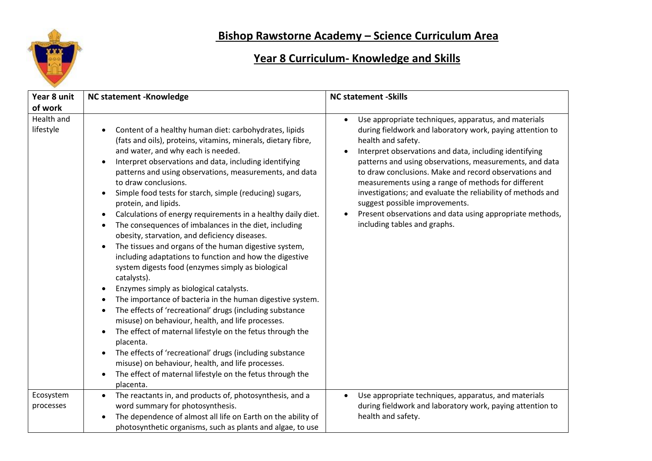

## **Bishop Rawstorne Academy – Science Curriculum Area**

## **Year 8 Curriculum- Knowledge and Skills**

| Year 8 unit                        | <b>NC statement -Knowledge</b>                                                                                                                                                                                                                                                                                                                                                                                                                                                                                                                                                                                                                                                                                                                                                                                                                                                                                                                                                                                                                                                                                                                                                                                                                                                                                                                                                     | <b>NC statement -Skills</b>                                                                                                                                                                                                                                                                                                                                                                                                                                                                                                                                               |
|------------------------------------|------------------------------------------------------------------------------------------------------------------------------------------------------------------------------------------------------------------------------------------------------------------------------------------------------------------------------------------------------------------------------------------------------------------------------------------------------------------------------------------------------------------------------------------------------------------------------------------------------------------------------------------------------------------------------------------------------------------------------------------------------------------------------------------------------------------------------------------------------------------------------------------------------------------------------------------------------------------------------------------------------------------------------------------------------------------------------------------------------------------------------------------------------------------------------------------------------------------------------------------------------------------------------------------------------------------------------------------------------------------------------------|---------------------------------------------------------------------------------------------------------------------------------------------------------------------------------------------------------------------------------------------------------------------------------------------------------------------------------------------------------------------------------------------------------------------------------------------------------------------------------------------------------------------------------------------------------------------------|
| of work<br>Health and<br>lifestyle | Content of a healthy human diet: carbohydrates, lipids<br>(fats and oils), proteins, vitamins, minerals, dietary fibre,<br>and water, and why each is needed.<br>Interpret observations and data, including identifying<br>patterns and using observations, measurements, and data<br>to draw conclusions.<br>Simple food tests for starch, simple (reducing) sugars,<br>$\bullet$<br>protein, and lipids.<br>Calculations of energy requirements in a healthy daily diet.<br>$\bullet$<br>The consequences of imbalances in the diet, including<br>$\bullet$<br>obesity, starvation, and deficiency diseases.<br>The tissues and organs of the human digestive system,<br>$\bullet$<br>including adaptations to function and how the digestive<br>system digests food (enzymes simply as biological<br>catalysts).<br>Enzymes simply as biological catalysts.<br>$\bullet$<br>The importance of bacteria in the human digestive system.<br>$\bullet$<br>The effects of 'recreational' drugs (including substance<br>$\bullet$<br>misuse) on behaviour, health, and life processes.<br>The effect of maternal lifestyle on the fetus through the<br>$\bullet$<br>placenta.<br>The effects of 'recreational' drugs (including substance<br>$\bullet$<br>misuse) on behaviour, health, and life processes.<br>The effect of maternal lifestyle on the fetus through the<br>placenta. | Use appropriate techniques, apparatus, and materials<br>during fieldwork and laboratory work, paying attention to<br>health and safety.<br>Interpret observations and data, including identifying<br>patterns and using observations, measurements, and data<br>to draw conclusions. Make and record observations and<br>measurements using a range of methods for different<br>investigations; and evaluate the reliability of methods and<br>suggest possible improvements.<br>Present observations and data using appropriate methods,<br>including tables and graphs. |
| Ecosystem<br>processes             | The reactants in, and products of, photosynthesis, and a<br>$\bullet$<br>word summary for photosynthesis.<br>The dependence of almost all life on Earth on the ability of<br>$\bullet$<br>photosynthetic organisms, such as plants and algae, to use                                                                                                                                                                                                                                                                                                                                                                                                                                                                                                                                                                                                                                                                                                                                                                                                                                                                                                                                                                                                                                                                                                                               | Use appropriate techniques, apparatus, and materials<br>during fieldwork and laboratory work, paying attention to<br>health and safety.                                                                                                                                                                                                                                                                                                                                                                                                                                   |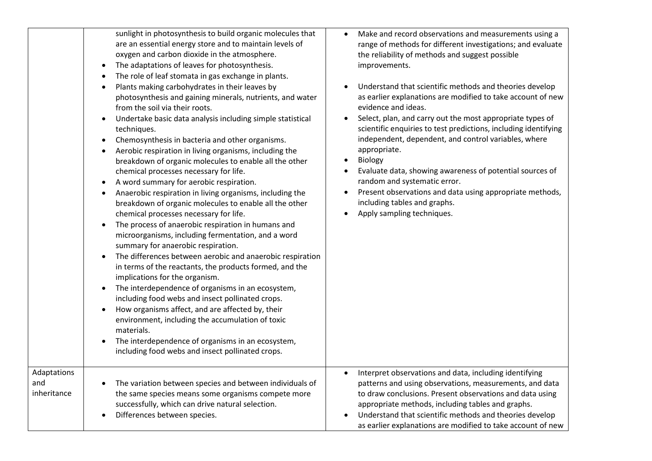|                                   | sunlight in photosynthesis to build organic molecules that<br>are an essential energy store and to maintain levels of<br>oxygen and carbon dioxide in the atmosphere.<br>The adaptations of leaves for photosynthesis.<br>The role of leaf stomata in gas exchange in plants.<br>Plants making carbohydrates in their leaves by<br>photosynthesis and gaining minerals, nutrients, and water<br>from the soil via their roots.<br>Undertake basic data analysis including simple statistical<br>techniques.<br>Chemosynthesis in bacteria and other organisms.<br>Aerobic respiration in living organisms, including the<br>breakdown of organic molecules to enable all the other<br>chemical processes necessary for life.<br>A word summary for aerobic respiration.<br>Anaerobic respiration in living organisms, including the<br>breakdown of organic molecules to enable all the other<br>chemical processes necessary for life.<br>The process of anaerobic respiration in humans and<br>$\bullet$<br>microorganisms, including fermentation, and a word<br>summary for anaerobic respiration.<br>The differences between aerobic and anaerobic respiration<br>in terms of the reactants, the products formed, and the<br>implications for the organism.<br>The interdependence of organisms in an ecosystem,<br>including food webs and insect pollinated crops.<br>How organisms affect, and are affected by, their<br>environment, including the accumulation of toxic<br>materials.<br>The interdependence of organisms in an ecosystem,<br>including food webs and insect pollinated crops. | Make and record observations and measurements using a<br>$\bullet$<br>range of methods for different investigations; and evaluate<br>the reliability of methods and suggest possible<br>improvements.<br>Understand that scientific methods and theories develop<br>as earlier explanations are modified to take account of new<br>evidence and ideas.<br>Select, plan, and carry out the most appropriate types of<br>scientific enquiries to test predictions, including identifying<br>independent, dependent, and control variables, where<br>appropriate.<br>Biology<br>$\bullet$<br>Evaluate data, showing awareness of potential sources of<br>random and systematic error.<br>Present observations and data using appropriate methods,<br>including tables and graphs.<br>Apply sampling techniques. |
|-----------------------------------|----------------------------------------------------------------------------------------------------------------------------------------------------------------------------------------------------------------------------------------------------------------------------------------------------------------------------------------------------------------------------------------------------------------------------------------------------------------------------------------------------------------------------------------------------------------------------------------------------------------------------------------------------------------------------------------------------------------------------------------------------------------------------------------------------------------------------------------------------------------------------------------------------------------------------------------------------------------------------------------------------------------------------------------------------------------------------------------------------------------------------------------------------------------------------------------------------------------------------------------------------------------------------------------------------------------------------------------------------------------------------------------------------------------------------------------------------------------------------------------------------------------------------------------------------------------------------------------------------------|--------------------------------------------------------------------------------------------------------------------------------------------------------------------------------------------------------------------------------------------------------------------------------------------------------------------------------------------------------------------------------------------------------------------------------------------------------------------------------------------------------------------------------------------------------------------------------------------------------------------------------------------------------------------------------------------------------------------------------------------------------------------------------------------------------------|
| Adaptations<br>and<br>inheritance | The variation between species and between individuals of<br>the same species means some organisms compete more<br>successfully, which can drive natural selection.<br>Differences between species.                                                                                                                                                                                                                                                                                                                                                                                                                                                                                                                                                                                                                                                                                                                                                                                                                                                                                                                                                                                                                                                                                                                                                                                                                                                                                                                                                                                                       | Interpret observations and data, including identifying<br>$\bullet$<br>patterns and using observations, measurements, and data<br>to draw conclusions. Present observations and data using<br>appropriate methods, including tables and graphs.<br>Understand that scientific methods and theories develop<br>as earlier explanations are modified to take account of new                                                                                                                                                                                                                                                                                                                                                                                                                                    |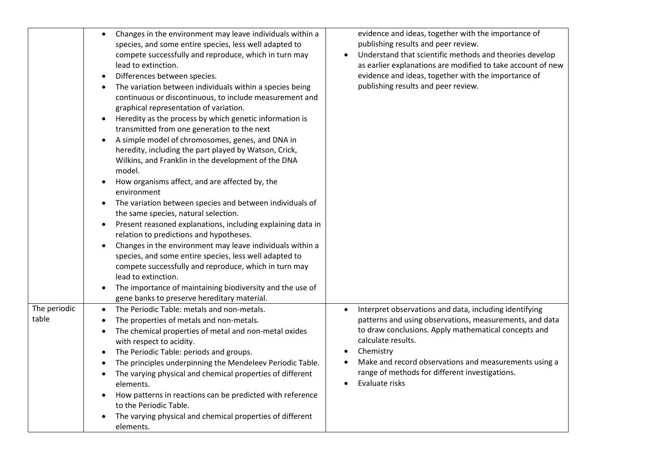|                       | Changes in the environment may leave individuals within a<br>$\bullet$<br>species, and some entire species, less well adapted to<br>compete successfully and reproduce, which in turn may<br>lead to extinction.<br>Differences between species.<br>$\bullet$<br>The variation between individuals within a species being<br>continuous or discontinuous, to include measurement and<br>graphical representation of variation.<br>Heredity as the process by which genetic information is<br>transmitted from one generation to the next<br>A simple model of chromosomes, genes, and DNA in<br>heredity, including the part played by Watson, Crick,<br>Wilkins, and Franklin in the development of the DNA<br>model.<br>How organisms affect, and are affected by, the<br>$\bullet$<br>environment<br>The variation between species and between individuals of<br>$\bullet$<br>the same species, natural selection.<br>Present reasoned explanations, including explaining data in<br>$\bullet$<br>relation to predictions and hypotheses.<br>Changes in the environment may leave individuals within a<br>species, and some entire species, less well adapted to<br>compete successfully and reproduce, which in turn may<br>lead to extinction. | evidence and ideas, together with the importance of<br>publishing results and peer review.<br>Understand that scientific methods and theories develop<br>as earlier explanations are modified to take account of new<br>evidence and ideas, together with the importance of<br>publishing results and peer review.                                                  |
|-----------------------|-----------------------------------------------------------------------------------------------------------------------------------------------------------------------------------------------------------------------------------------------------------------------------------------------------------------------------------------------------------------------------------------------------------------------------------------------------------------------------------------------------------------------------------------------------------------------------------------------------------------------------------------------------------------------------------------------------------------------------------------------------------------------------------------------------------------------------------------------------------------------------------------------------------------------------------------------------------------------------------------------------------------------------------------------------------------------------------------------------------------------------------------------------------------------------------------------------------------------------------------------------|---------------------------------------------------------------------------------------------------------------------------------------------------------------------------------------------------------------------------------------------------------------------------------------------------------------------------------------------------------------------|
|                       | The importance of maintaining biodiversity and the use of<br>gene banks to preserve hereditary material.                                                                                                                                                                                                                                                                                                                                                                                                                                                                                                                                                                                                                                                                                                                                                                                                                                                                                                                                                                                                                                                                                                                                            |                                                                                                                                                                                                                                                                                                                                                                     |
| The periodic<br>table | The Periodic Table: metals and non-metals.<br>The properties of metals and non-metals.<br>The chemical properties of metal and non-metal oxides<br>with respect to acidity.<br>The Periodic Table: periods and groups.<br>$\bullet$<br>The principles underpinning the Mendeleev Periodic Table.<br>The varying physical and chemical properties of different<br>elements.<br>How patterns in reactions can be predicted with reference<br>to the Periodic Table.<br>The varying physical and chemical properties of different<br>elements.                                                                                                                                                                                                                                                                                                                                                                                                                                                                                                                                                                                                                                                                                                         | Interpret observations and data, including identifying<br>$\bullet$<br>patterns and using observations, measurements, and data<br>to draw conclusions. Apply mathematical concepts and<br>calculate results.<br>Chemistry<br>$\bullet$<br>Make and record observations and measurements using a<br>range of methods for different investigations.<br>Evaluate risks |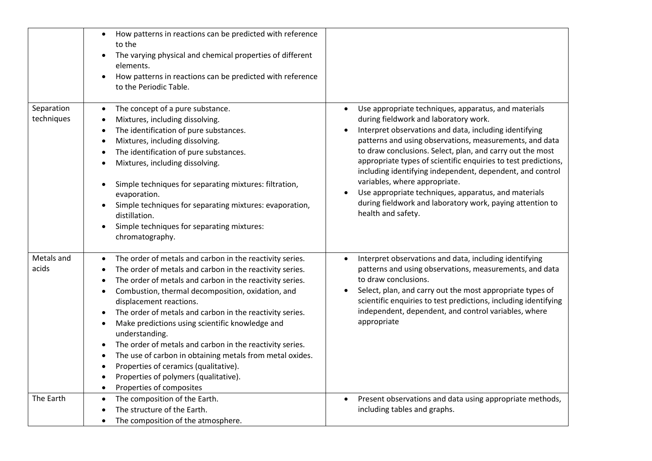|                          | How patterns in reactions can be predicted with reference<br>$\bullet$<br>to the<br>The varying physical and chemical properties of different<br>elements.<br>How patterns in reactions can be predicted with reference<br>$\bullet$<br>to the Periodic Table.                                                                                                                                                                                                                                                                                                                                                                                                                                                             |                                                                                                                                                                                                                                                                                                                                                                                                                                                                                                                                                                                            |
|--------------------------|----------------------------------------------------------------------------------------------------------------------------------------------------------------------------------------------------------------------------------------------------------------------------------------------------------------------------------------------------------------------------------------------------------------------------------------------------------------------------------------------------------------------------------------------------------------------------------------------------------------------------------------------------------------------------------------------------------------------------|--------------------------------------------------------------------------------------------------------------------------------------------------------------------------------------------------------------------------------------------------------------------------------------------------------------------------------------------------------------------------------------------------------------------------------------------------------------------------------------------------------------------------------------------------------------------------------------------|
| Separation<br>techniques | The concept of a pure substance.<br>$\bullet$<br>Mixtures, including dissolving.<br>The identification of pure substances.<br>Mixtures, including dissolving.<br>The identification of pure substances.<br>Mixtures, including dissolving.<br>Simple techniques for separating mixtures: filtration,<br>evaporation.<br>Simple techniques for separating mixtures: evaporation,<br>$\bullet$<br>distillation.<br>Simple techniques for separating mixtures:<br>$\bullet$<br>chromatography.                                                                                                                                                                                                                                | Use appropriate techniques, apparatus, and materials<br>during fieldwork and laboratory work.<br>Interpret observations and data, including identifying<br>patterns and using observations, measurements, and data<br>to draw conclusions. Select, plan, and carry out the most<br>appropriate types of scientific enquiries to test predictions,<br>including identifying independent, dependent, and control<br>variables, where appropriate.<br>Use appropriate techniques, apparatus, and materials<br>during fieldwork and laboratory work, paying attention to<br>health and safety. |
| Metals and<br>acids      | The order of metals and carbon in the reactivity series.<br>$\bullet$<br>The order of metals and carbon in the reactivity series.<br>The order of metals and carbon in the reactivity series.<br>Combustion, thermal decomposition, oxidation, and<br>displacement reactions.<br>The order of metals and carbon in the reactivity series.<br>$\bullet$<br>Make predictions using scientific knowledge and<br>$\bullet$<br>understanding.<br>The order of metals and carbon in the reactivity series.<br>$\bullet$<br>The use of carbon in obtaining metals from metal oxides.<br>$\bullet$<br>Properties of ceramics (qualitative).<br>٠<br>Properties of polymers (qualitative).<br>Properties of composites<br>$\bullet$ | Interpret observations and data, including identifying<br>$\bullet$<br>patterns and using observations, measurements, and data<br>to draw conclusions.<br>Select, plan, and carry out the most appropriate types of<br>scientific enquiries to test predictions, including identifying<br>independent, dependent, and control variables, where<br>appropriate                                                                                                                                                                                                                              |
| The Earth                | The composition of the Earth.<br>$\bullet$<br>The structure of the Earth.<br>The composition of the atmosphere.<br>$\bullet$                                                                                                                                                                                                                                                                                                                                                                                                                                                                                                                                                                                               | Present observations and data using appropriate methods,<br>$\bullet$<br>including tables and graphs.                                                                                                                                                                                                                                                                                                                                                                                                                                                                                      |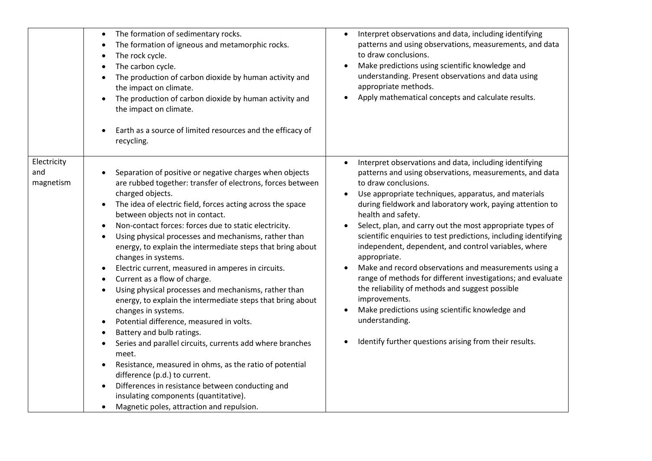|                                 | The formation of sedimentary rocks.<br>$\bullet$<br>The formation of igneous and metamorphic rocks.<br>The rock cycle.<br>The carbon cycle.<br>The production of carbon dioxide by human activity and<br>$\bullet$<br>the impact on climate.<br>The production of carbon dioxide by human activity and<br>the impact on climate.<br>Earth as a source of limited resources and the efficacy of<br>recycling.                                                                                                                                                                                                                                                                                                                                                                                                                                                                                                                                                                                                                                                                                                                 | Interpret observations and data, including identifying<br>patterns and using observations, measurements, and data<br>to draw conclusions.<br>Make predictions using scientific knowledge and<br>understanding. Present observations and data using<br>appropriate methods.<br>Apply mathematical concepts and calculate results.                                                                                                                                                                                                                                                                                                                                                                                                                                                                                        |
|---------------------------------|------------------------------------------------------------------------------------------------------------------------------------------------------------------------------------------------------------------------------------------------------------------------------------------------------------------------------------------------------------------------------------------------------------------------------------------------------------------------------------------------------------------------------------------------------------------------------------------------------------------------------------------------------------------------------------------------------------------------------------------------------------------------------------------------------------------------------------------------------------------------------------------------------------------------------------------------------------------------------------------------------------------------------------------------------------------------------------------------------------------------------|-------------------------------------------------------------------------------------------------------------------------------------------------------------------------------------------------------------------------------------------------------------------------------------------------------------------------------------------------------------------------------------------------------------------------------------------------------------------------------------------------------------------------------------------------------------------------------------------------------------------------------------------------------------------------------------------------------------------------------------------------------------------------------------------------------------------------|
| Electricity<br>and<br>magnetism | Separation of positive or negative charges when objects<br>are rubbed together: transfer of electrons, forces between<br>charged objects.<br>The idea of electric field, forces acting across the space<br>$\bullet$<br>between objects not in contact.<br>Non-contact forces: forces due to static electricity.<br>Using physical processes and mechanisms, rather than<br>$\bullet$<br>energy, to explain the intermediate steps that bring about<br>changes in systems.<br>Electric current, measured in amperes in circuits.<br>Current as a flow of charge.<br>Using physical processes and mechanisms, rather than<br>energy, to explain the intermediate steps that bring about<br>changes in systems.<br>Potential difference, measured in volts.<br>Battery and bulb ratings.<br>Series and parallel circuits, currents add where branches<br>meet.<br>Resistance, measured in ohms, as the ratio of potential<br>difference (p.d.) to current.<br>Differences in resistance between conducting and<br>$\bullet$<br>insulating components (quantitative).<br>Magnetic poles, attraction and repulsion.<br>$\bullet$ | Interpret observations and data, including identifying<br>patterns and using observations, measurements, and data<br>to draw conclusions.<br>Use appropriate techniques, apparatus, and materials<br>during fieldwork and laboratory work, paying attention to<br>health and safety.<br>Select, plan, and carry out the most appropriate types of<br>scientific enquiries to test predictions, including identifying<br>independent, dependent, and control variables, where<br>appropriate.<br>Make and record observations and measurements using a<br>range of methods for different investigations; and evaluate<br>the reliability of methods and suggest possible<br>improvements.<br>Make predictions using scientific knowledge and<br>understanding.<br>Identify further questions arising from their results. |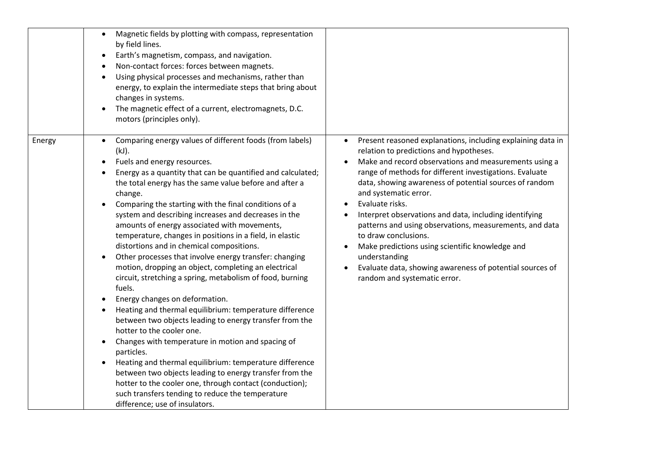| by field lines.<br>$\bullet$<br>changes in systems.<br>$\bullet$<br>motors (principles only).                                                                                                                             | Magnetic fields by plotting with compass, representation<br>Earth's magnetism, compass, and navigation.<br>Non-contact forces: forces between magnets.<br>Using physical processes and mechanisms, rather than<br>energy, to explain the intermediate steps that bring about<br>The magnetic effect of a current, electromagnets, D.C.                                                                                                                                                                                                                                                                                                                                                                                                                                                                                                                                                                                                                                                                                                                     |                                                                                                                                                                                                                                                                                                                                                                                                                                                                                                                                                                                                                                               |
|---------------------------------------------------------------------------------------------------------------------------------------------------------------------------------------------------------------------------|------------------------------------------------------------------------------------------------------------------------------------------------------------------------------------------------------------------------------------------------------------------------------------------------------------------------------------------------------------------------------------------------------------------------------------------------------------------------------------------------------------------------------------------------------------------------------------------------------------------------------------------------------------------------------------------------------------------------------------------------------------------------------------------------------------------------------------------------------------------------------------------------------------------------------------------------------------------------------------------------------------------------------------------------------------|-----------------------------------------------------------------------------------------------------------------------------------------------------------------------------------------------------------------------------------------------------------------------------------------------------------------------------------------------------------------------------------------------------------------------------------------------------------------------------------------------------------------------------------------------------------------------------------------------------------------------------------------------|
| Energy<br>(kJ).<br>Fuels and energy resources.<br>$\bullet$<br>change.<br>$\bullet$<br>fuels.<br>Energy changes on deformation.<br>hotter to the cooler one.<br>$\bullet$<br>particles.<br>difference; use of insulators. | Comparing energy values of different foods (from labels)<br>Energy as a quantity that can be quantified and calculated;<br>the total energy has the same value before and after a<br>Comparing the starting with the final conditions of a<br>system and describing increases and decreases in the<br>amounts of energy associated with movements,<br>temperature, changes in positions in a field, in elastic<br>distortions and in chemical compositions.<br>Other processes that involve energy transfer: changing<br>motion, dropping an object, completing an electrical<br>circuit, stretching a spring, metabolism of food, burning<br>Heating and thermal equilibrium: temperature difference<br>between two objects leading to energy transfer from the<br>Changes with temperature in motion and spacing of<br>Heating and thermal equilibrium: temperature difference<br>between two objects leading to energy transfer from the<br>hotter to the cooler one, through contact (conduction);<br>such transfers tending to reduce the temperature | Present reasoned explanations, including explaining data in<br>relation to predictions and hypotheses.<br>Make and record observations and measurements using a<br>range of methods for different investigations. Evaluate<br>data, showing awareness of potential sources of random<br>and systematic error.<br>Evaluate risks.<br>Interpret observations and data, including identifying<br>patterns and using observations, measurements, and data<br>to draw conclusions.<br>Make predictions using scientific knowledge and<br>understanding<br>Evaluate data, showing awareness of potential sources of<br>random and systematic error. |